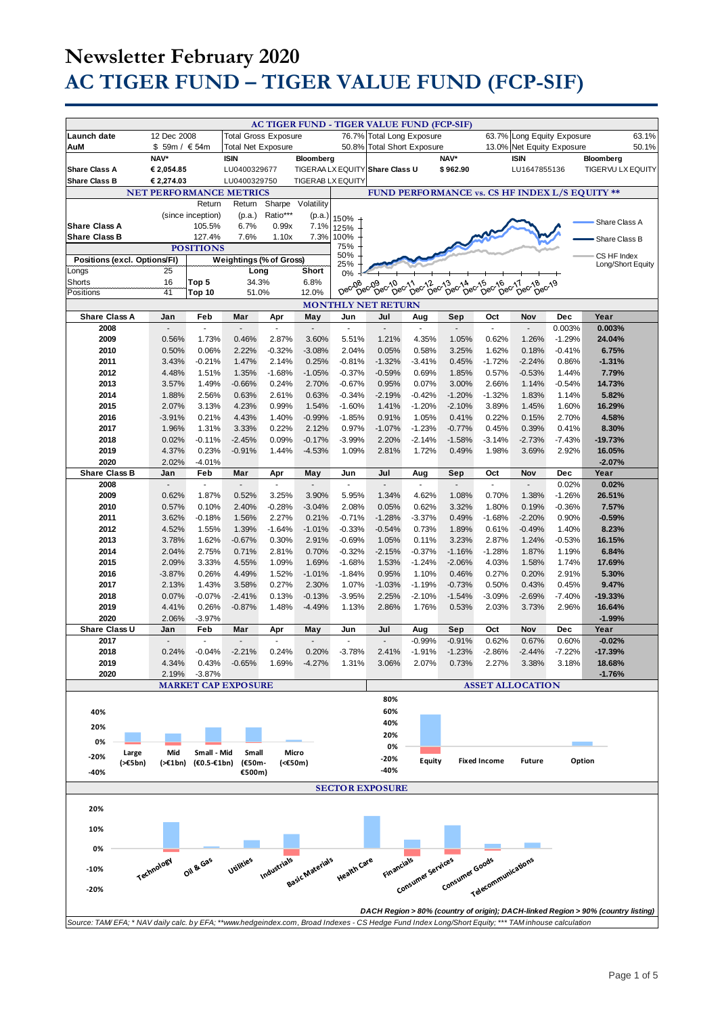|                                                                                                                                                                            |                                |                                   |                              |                                   |                          |                      | AC TIGER FUND - TIGER VALUE FUND (FCP-SIF)                              |                                   |                      |                          |                            |                   |                                                                                   |
|----------------------------------------------------------------------------------------------------------------------------------------------------------------------------|--------------------------------|-----------------------------------|------------------------------|-----------------------------------|--------------------------|----------------------|-------------------------------------------------------------------------|-----------------------------------|----------------------|--------------------------|----------------------------|-------------------|-----------------------------------------------------------------------------------|
| Launch date                                                                                                                                                                | 12 Dec 2008                    |                                   | <b>Total Gross Exposure</b>  |                                   |                          |                      | 76.7% Total Long Exposure                                               |                                   |                      |                          | 63.7% Long Equity Exposure |                   | 63.1%                                                                             |
| AuM                                                                                                                                                                        | \$ 59m / € 54m                 |                                   | <b>Total Net Exposure</b>    |                                   |                          |                      | 50.8% Total Short Exposure                                              |                                   |                      |                          | 13.0% Net Equity Exposure  |                   | 50.1%                                                                             |
|                                                                                                                                                                            | NAV*                           |                                   | <b>ISIN</b>                  |                                   | Bloomberg                |                      |                                                                         |                                   | NAV*                 |                          | <b>ISIN</b>                |                   | Bloomberg                                                                         |
| <b>Share Class A</b><br><b>Share Class B</b>                                                                                                                               | € 2,054.85<br>€ 2,274.03       |                                   | LU0400329677<br>LU0400329750 |                                   | <b>TIGERAB LX EQUITY</b> |                      | TIGERAA LX EQUITY Share Class U                                         |                                   | \$962.90             |                          | LU1647855136               |                   | <b>TIGERVU LX EQUITY</b>                                                          |
|                                                                                                                                                                            | <b>NET PERFORMANCE METRICS</b> |                                   |                              |                                   |                          |                      | FUND PERFORMANCE vs. CS HF INDEX L/S EQUITY **                          |                                   |                      |                          |                            |                   |                                                                                   |
|                                                                                                                                                                            |                                | Return                            | Return                       | Sharpe                            | Volatility               |                      |                                                                         |                                   |                      |                          |                            |                   |                                                                                   |
|                                                                                                                                                                            |                                | (since inception)                 | (p.a.)                       | Ratio***                          | (p.a.)                   | 150%                 |                                                                         |                                   |                      |                          |                            |                   | Share Class A                                                                     |
| <b>Share Class A</b><br><b>Share Class B</b>                                                                                                                               |                                | 105.5%<br>127.4%                  | 6.7%<br>7.6%                 | 0.99x<br>1.10x                    | 7.1%<br>7.3%             | 125%<br>100%         |                                                                         |                                   |                      |                          |                            |                   |                                                                                   |
|                                                                                                                                                                            |                                | <b>POSITIONS</b>                  |                              |                                   |                          | 75%                  |                                                                         |                                   |                      |                          |                            |                   | Share Class B                                                                     |
| Positions (excl. Options/FI)                                                                                                                                               |                                |                                   | Weightings (% of Gross)      |                                   |                          | 50%<br>25%           |                                                                         |                                   |                      |                          |                            |                   | CS HF Index<br>Long/Short Equity                                                  |
| Longs                                                                                                                                                                      | 25                             |                                   | Long                         |                                   | Short                    | 0%                   |                                                                         |                                   |                      |                          |                            |                   |                                                                                   |
| Shorts<br>Positions                                                                                                                                                        | 16<br>41                       | Top 5<br>Top 10                   | 34.3%                        |                                   | 6.8%<br>12.0%            | Dec-08               | 08-09-010-11-02-13-02-14-02-15-016<br>Dec Dec Dec Dec Dec Dec Dec Dec D |                                   |                      | $D^{ec}$ <sup>17</sup>   | 17 <sub>8018019</sub>      |                   |                                                                                   |
| 51.0%<br><b>MONTHLY NET RETURN</b>                                                                                                                                         |                                |                                   |                              |                                   |                          |                      |                                                                         |                                   |                      |                          |                            |                   |                                                                                   |
| <b>Share Class A</b>                                                                                                                                                       | Jan                            | Feb                               | Mar                          | Apr                               | May                      | Jun                  | Jul                                                                     | Aug                               | Sep                  | Oct                      | Nov                        | <b>Dec</b>        | Year                                                                              |
| 2008                                                                                                                                                                       | $\blacksquare$                 | $\sim$                            | $\overline{a}$               | $\sim$                            | $\overline{\phantom{a}}$ | $\sim$               | $\blacksquare$                                                          | $\blacksquare$                    | $\sim$               | $\overline{\phantom{a}}$ | $\Box$                     | 0.003%            | 0.003%                                                                            |
| 2009                                                                                                                                                                       | 0.56%                          | 1.73%                             | 0.46%                        | 2.87%                             | 3.60%                    | 5.51%                | 1.21%                                                                   | 4.35%                             | 1.05%                | 0.62%                    | 1.26%                      | $-1.29%$          | 24.04%                                                                            |
| 2010<br>2011                                                                                                                                                               | 0.50%<br>3.43%                 | 0.06%<br>$-0.21%$                 | 2.22%<br>1.47%               | $-0.32%$<br>2.14%                 | $-3.08%$<br>0.25%        | 2.04%<br>$-0.81%$    | 0.05%<br>$-1.32%$                                                       | 0.58%<br>$-3.41%$                 | 3.25%<br>0.45%       | 1.62%<br>$-1.72%$        | 0.18%<br>$-2.24%$          | $-0.41%$<br>0.86% | 6.75%<br>$-1.31%$                                                                 |
| 2012                                                                                                                                                                       | 4.48%                          | 1.51%                             | 1.35%                        | $-1.68%$                          | $-1.05%$                 | $-0.37%$             | $-0.59%$                                                                | 0.69%                             | 1.85%                | 0.57%                    | $-0.53%$                   | 1.44%             | 7.79%                                                                             |
| 2013                                                                                                                                                                       | 3.57%                          | 1.49%                             | $-0.66%$                     | 0.24%                             | 2.70%                    | $-0.67%$             | 0.95%                                                                   | 0.07%                             | 3.00%                | 2.66%                    | 1.14%                      | $-0.54%$          | 14.73%                                                                            |
| 2014                                                                                                                                                                       | 1.88%                          | 2.56%                             | 0.63%                        | 2.61%                             | 0.63%                    | $-0.34%$             | $-2.19%$                                                                | $-0.42%$                          | $-1.20%$             | $-1.32%$                 | 1.83%                      | 1.14%             | 5.82%                                                                             |
| 2015                                                                                                                                                                       | 2.07%                          | 3.13%                             | 4.23%                        | 0.99%                             | 1.54%                    | $-1.60%$             | 1.41%                                                                   | $-1.20%$                          | $-2.10%$             | 3.89%                    | 1.45%                      | 1.60%             | 16.29%                                                                            |
| 2016                                                                                                                                                                       | $-3.91%$                       | 0.21%                             | 4.43%                        | 1.40%                             | $-0.99%$                 | $-1.85%$             | 0.91%                                                                   | 1.05%                             | 0.41%                | 0.22%                    | 0.15%                      | 2.70%             | 4.58%                                                                             |
| 2017<br>2018                                                                                                                                                               | 1.96%<br>0.02%                 | 1.31%<br>$-0.11%$                 | 3.33%<br>$-2.45%$            | 0.22%<br>0.09%                    | 2.12%<br>$-0.17%$        | 0.97%<br>$-3.99%$    | $-1.07%$<br>2.20%                                                       | $-1.23%$<br>$-2.14%$              | $-0.77%$<br>$-1.58%$ | 0.45%<br>$-3.14%$        | 0.39%<br>$-2.73%$          | 0.41%<br>$-7.43%$ | 8.30%<br>$-19.73%$                                                                |
| 2019                                                                                                                                                                       | 4.37%                          | 0.23%                             | $-0.91%$                     | 1.44%                             | $-4.53%$                 | 1.09%                | 2.81%                                                                   | 1.72%                             | 0.49%                | 1.98%                    | 3.69%                      | 2.92%             | 16.05%                                                                            |
| 2020                                                                                                                                                                       | 2.02%                          | $-4.01%$                          |                              |                                   |                          |                      |                                                                         |                                   |                      |                          |                            |                   | $-2.07%$                                                                          |
| <b>Share Class B</b>                                                                                                                                                       | Jan                            | Feb                               | Mar                          | Apr                               | May                      | Jun                  | Jul                                                                     | Aug                               | Sep                  | Oct                      | Nov                        | Dec               | Year                                                                              |
| 2008<br>2009                                                                                                                                                               | $\overline{a}$<br>0.62%        | $\overline{\phantom{a}}$<br>1.87% | 0.52%                        | $\overline{\phantom{a}}$<br>3.25% | 3.90%                    | ÷,<br>5.95%          | $\blacksquare$<br>1.34%                                                 | $\overline{\phantom{a}}$<br>4.62% | 1.08%                | ÷,<br>0.70%              | L.<br>1.38%                | 0.02%<br>$-1.26%$ | 0.02%<br>26.51%                                                                   |
| 2010                                                                                                                                                                       | 0.57%                          | 0.10%                             | 2.40%                        | $-0.28%$                          | $-3.04%$                 | 2.08%                | 0.05%                                                                   | 0.62%                             | 3.32%                | 1.80%                    | 0.19%                      | $-0.36%$          | 7.57%                                                                             |
| 2011                                                                                                                                                                       | 3.62%                          | $-0.18%$                          | 1.56%                        | 2.27%                             | 0.21%                    | $-0.71%$             | $-1.28%$                                                                | $-3.37%$                          | 0.49%                | $-1.68%$                 | $-2.20%$                   | 0.90%             | $-0.59%$                                                                          |
| 2012                                                                                                                                                                       | 4.52%                          | 1.55%                             | 1.39%                        | $-1.64%$                          | $-1.01%$                 | $-0.33%$             | $-0.54%$                                                                | 0.73%                             | 1.89%                | 0.61%                    | $-0.49%$                   | 1.40%             | 8.23%                                                                             |
| 2013                                                                                                                                                                       | 3.78%                          | 1.62%                             | $-0.67%$                     | 0.30%                             | 2.91%                    | $-0.69%$             | 1.05%                                                                   | 0.11%                             | 3.23%                | 2.87%                    | 1.24%                      | $-0.53%$          | 16.15%                                                                            |
| 2014<br>2015                                                                                                                                                               | 2.04%<br>2.09%                 | 2.75%<br>3.33%                    | 0.71%<br>4.55%               | 2.81%<br>1.09%                    | 0.70%<br>1.69%           | $-0.32%$<br>$-1.68%$ | $-2.15%$<br>1.53%                                                       | $-0.37%$<br>$-1.24%$              | $-1.16%$<br>$-2.06%$ | $-1.28%$<br>4.03%        | 1.87%<br>1.58%             | 1.19%<br>1.74%    | 6.84%<br>17.69%                                                                   |
| 2016                                                                                                                                                                       | $-3.87%$                       | 0.26%                             | 4.49%                        | 1.52%                             | $-1.01%$                 | $-1.84%$             | 0.95%                                                                   | 1.10%                             | 0.46%                | 0.27%                    | 0.20%                      | 2.91%             | 5.30%                                                                             |
| 2017                                                                                                                                                                       | 2.13%                          | 1.43%                             | 3.58%                        | 0.27%                             | 2.30%                    | 1.07%                | $-1.03%$                                                                | $-1.19%$                          | $-0.73%$             | 0.50%                    | 0.43%                      | 0.45%             | 9.47%                                                                             |
| 2018                                                                                                                                                                       | 0.07%                          | $-0.07%$                          | $-2.41%$                     | 0.13%                             | $-0.13%$                 | $-3.95%$             | 2.25%                                                                   | $-2.10%$                          | $-1.54%$             | $-3.09%$                 | $-2.69%$                   | $-7.40%$          | $-19.33%$                                                                         |
| 2019<br>2020                                                                                                                                                               | 4.41%                          | 0.26%                             | $-0.87%$                     | 1.48%                             | $-4.49%$                 | 1.13%                | 2.86%                                                                   | 1.76%                             | 0.53%                | 2.03%                    | 3.73%                      | 2.96%             | 16.64%                                                                            |
| Share Class U                                                                                                                                                              | 2.06%<br>Jan                   | $-3.97%$<br>Feb                   | Mar                          | Apr                               | May                      | Jun                  | Jul                                                                     | Aug                               | Sep                  | Oct                      | Nov                        | <b>Dec</b>        | $-1.99%$<br>Year                                                                  |
| 2017                                                                                                                                                                       | $\overline{\phantom{a}}$       | $\sim$                            |                              |                                   |                          |                      |                                                                         | $-0.99%$                          | $-0.91%$             | 0.62%                    | 0.67%                      | 0.60%             | $-0.02%$                                                                          |
| 2018                                                                                                                                                                       | 0.24%                          | $-0.04%$                          | $-2.21%$                     | 0.24%                             | 0.20%                    | $-3.78%$             | 2.41%                                                                   | $-1.91%$                          | $-1.23%$             | $-2.86%$                 | 2.44%                      | $-7.22%$          | $-17.39%$                                                                         |
| 2019<br>2020                                                                                                                                                               | 4.34%<br>2.19%                 | 0.43%<br>$-3.87%$                 | $-0.65%$                     | 1.69%                             | $-4.27%$                 | 1.31%                | 3.06%                                                                   | 2.07%                             | 0.73%                | 2.27%                    | 3.38%                      | 3.18%             | 18.68%<br>$-1.76%$                                                                |
|                                                                                                                                                                            |                                |                                   | <b>MARKET CAP EXPOSURE</b>   |                                   |                          |                      |                                                                         |                                   |                      |                          | <b>ASSET ALLOCATION</b>    |                   |                                                                                   |
|                                                                                                                                                                            |                                |                                   |                              |                                   |                          |                      | 80%                                                                     |                                   |                      |                          |                            |                   |                                                                                   |
| 40%                                                                                                                                                                        |                                |                                   |                              |                                   |                          |                      | 60%                                                                     |                                   |                      |                          |                            |                   |                                                                                   |
| 20%                                                                                                                                                                        |                                |                                   |                              |                                   |                          |                      | 40%                                                                     |                                   |                      |                          |                            |                   |                                                                                   |
| 0%                                                                                                                                                                         |                                |                                   |                              |                                   |                          |                      | 20%                                                                     |                                   |                      |                          |                            |                   |                                                                                   |
| Large<br>$-20%$                                                                                                                                                            | Mid                            | Small - Mid                       | Small                        |                                   | Micro                    |                      | 0%<br>-20%                                                              |                                   |                      |                          |                            |                   |                                                                                   |
| (>€5bn)<br>-40%                                                                                                                                                            | (>€1bn)                        | (€0.5-€1bn)                       | (€50m-<br>€500m)             | (<€50m)                           |                          |                      | -40%                                                                    | Equity                            |                      | <b>Fixed Income</b>      | <b>Future</b>              | Option            |                                                                                   |
|                                                                                                                                                                            |                                |                                   |                              |                                   |                          |                      |                                                                         |                                   |                      |                          |                            |                   |                                                                                   |
|                                                                                                                                                                            |                                |                                   |                              |                                   |                          |                      | <b>SECTOR EXPOSURE</b>                                                  |                                   |                      |                          |                            |                   |                                                                                   |
| 20%                                                                                                                                                                        |                                |                                   |                              |                                   |                          |                      |                                                                         |                                   |                      |                          |                            |                   |                                                                                   |
| 10%                                                                                                                                                                        |                                |                                   |                              |                                   |                          |                      |                                                                         |                                   |                      |                          |                            |                   |                                                                                   |
|                                                                                                                                                                            |                                |                                   |                              |                                   |                          |                      |                                                                         |                                   |                      |                          |                            |                   |                                                                                   |
| 0%                                                                                                                                                                         |                                |                                   |                              |                                   |                          |                      |                                                                         |                                   |                      |                          |                            |                   |                                                                                   |
| Financials<br>Industrials<br>Basic Materials<br>Health Care<br>Consumer services<br>Oil & Gas<br>Utilities<br>Consumer Goods<br>Telecommunications<br>Technology<br>$-10%$ |                                |                                   |                              |                                   |                          |                      |                                                                         |                                   |                      |                          |                            |                   |                                                                                   |
|                                                                                                                                                                            |                                |                                   |                              |                                   |                          |                      |                                                                         |                                   |                      |                          |                            |                   |                                                                                   |
| -20%                                                                                                                                                                       |                                |                                   |                              |                                   |                          |                      |                                                                         |                                   |                      |                          |                            |                   |                                                                                   |
|                                                                                                                                                                            |                                |                                   |                              |                                   |                          |                      |                                                                         |                                   |                      |                          |                            |                   | DACH Region > 80% (country of origin); DACH-linked Region > 90% (country listing) |
| Source: TAM/EFA; * NAV daily calc. by EFA; **www.hedgeindex.com, Broad Indexes - CS Hedge Fund Index Long/Short Equity; *** TAM inhouse calculation                        |                                |                                   |                              |                                   |                          |                      |                                                                         |                                   |                      |                          |                            |                   |                                                                                   |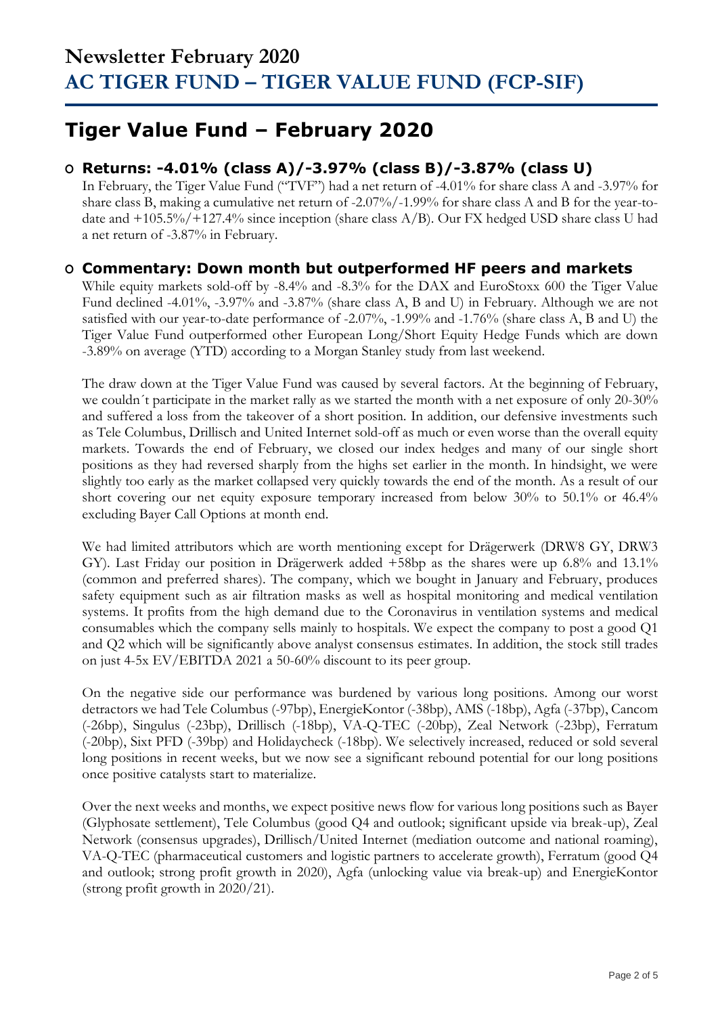## **Tiger Value Fund – February 2020**

### **O Returns: -4.01% (class A)/-3.97% (class B)/-3.87% (class U)**

In February, the Tiger Value Fund ("TVF") had a net return of -4.01% for share class A and -3.97% for share class B, making a cumulative net return of -2.07%/-1.99% for share class A and B for the year-todate and +105.5%/+127.4% since inception (share class A/B). Our FX hedged USD share class U had a net return of -3.87% in February.

### **O Commentary: Down month but outperformed HF peers and markets**

While equity markets sold-off by -8.4% and -8.3% for the DAX and EuroStoxx 600 the Tiger Value Fund declined -4.01%, -3.97% and -3.87% (share class A, B and U) in February. Although we are not satisfied with our year-to-date performance of -2.07%, -1.99% and -1.76% (share class A, B and U) the Tiger Value Fund outperformed other European Long/Short Equity Hedge Funds which are down -3.89% on average (YTD) according to a Morgan Stanley study from last weekend.

The draw down at the Tiger Value Fund was caused by several factors. At the beginning of February, we couldn´t participate in the market rally as we started the month with a net exposure of only 20-30% and suffered a loss from the takeover of a short position. In addition, our defensive investments such as Tele Columbus, Drillisch and United Internet sold-off as much or even worse than the overall equity markets. Towards the end of February, we closed our index hedges and many of our single short positions as they had reversed sharply from the highs set earlier in the month. In hindsight, we were slightly too early as the market collapsed very quickly towards the end of the month. As a result of our short covering our net equity exposure temporary increased from below 30% to 50.1% or 46.4% excluding Bayer Call Options at month end.

We had limited attributors which are worth mentioning except for Drägerwerk (DRW8 GY, DRW3 GY). Last Friday our position in Drägerwerk added +58bp as the shares were up 6.8% and 13.1% (common and preferred shares). The company, which we bought in January and February, produces safety equipment such as air filtration masks as well as hospital monitoring and medical ventilation systems. It profits from the high demand due to the Coronavirus in ventilation systems and medical consumables which the company sells mainly to hospitals. We expect the company to post a good Q1 and Q2 which will be significantly above analyst consensus estimates. In addition, the stock still trades on just 4-5x EV/EBITDA 2021 a 50-60% discount to its peer group.

On the negative side our performance was burdened by various long positions. Among our worst detractors we had Tele Columbus (-97bp), EnergieKontor (-38bp), AMS (-18bp), Agfa (-37bp), Cancom (-26bp), Singulus (-23bp), Drillisch (-18bp), VA-Q-TEC (-20bp), Zeal Network (-23bp), Ferratum (-20bp), Sixt PFD (-39bp) and Holidaycheck (-18bp). We selectively increased, reduced or sold several long positions in recent weeks, but we now see a significant rebound potential for our long positions once positive catalysts start to materialize.

Over the next weeks and months, we expect positive news flow for various long positions such as Bayer (Glyphosate settlement), Tele Columbus (good Q4 and outlook; significant upside via break-up), Zeal Network (consensus upgrades), Drillisch/United Internet (mediation outcome and national roaming), VA-Q-TEC (pharmaceutical customers and logistic partners to accelerate growth), Ferratum (good Q4 and outlook; strong profit growth in 2020), Agfa (unlocking value via break-up) and EnergieKontor (strong profit growth in 2020/21).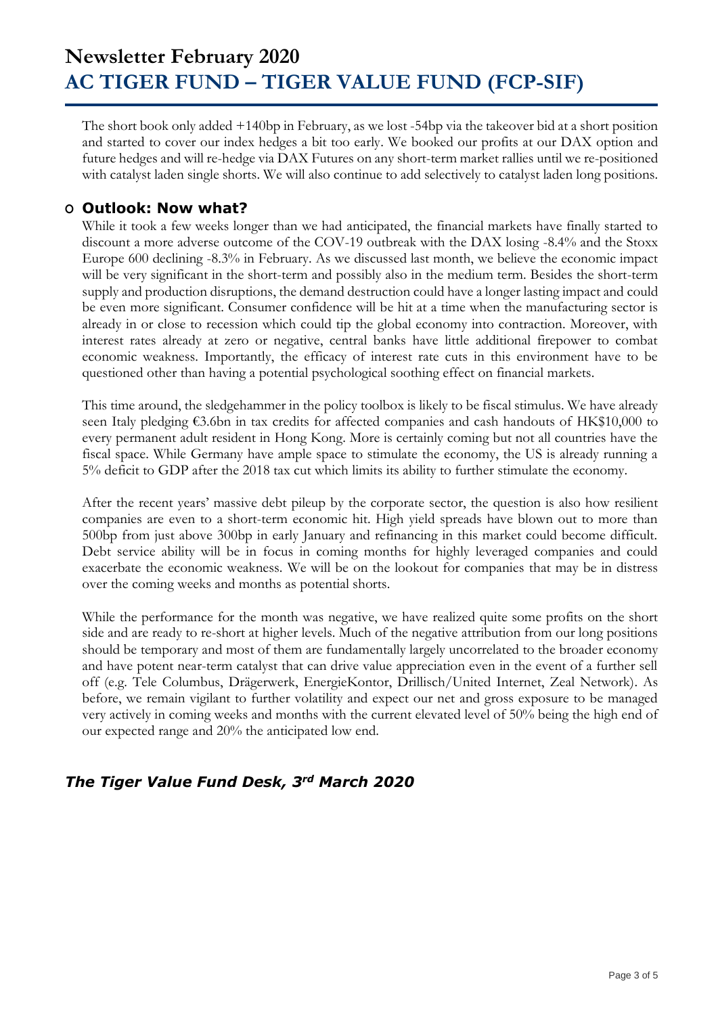The short book only added +140bp in February, as we lost -54bp via the takeover bid at a short position and started to cover our index hedges a bit too early. We booked our profits at our DAX option and future hedges and will re-hedge via DAX Futures on any short-term market rallies until we re-positioned with catalyst laden single shorts. We will also continue to add selectively to catalyst laden long positions.

#### **O Outlook: Now what?**

While it took a few weeks longer than we had anticipated, the financial markets have finally started to discount a more adverse outcome of the COV-19 outbreak with the DAX losing -8.4% and the Stoxx Europe 600 declining -8.3% in February. As we discussed last month, we believe the economic impact will be very significant in the short-term and possibly also in the medium term. Besides the short-term supply and production disruptions, the demand destruction could have a longer lasting impact and could be even more significant. Consumer confidence will be hit at a time when the manufacturing sector is already in or close to recession which could tip the global economy into contraction. Moreover, with interest rates already at zero or negative, central banks have little additional firepower to combat economic weakness. Importantly, the efficacy of interest rate cuts in this environment have to be questioned other than having a potential psychological soothing effect on financial markets.

This time around, the sledgehammer in the policy toolbox is likely to be fiscal stimulus. We have already seen Italy pledging €3.6bn in tax credits for affected companies and cash handouts of HK\$10,000 to every permanent adult resident in Hong Kong. More is certainly coming but not all countries have the fiscal space. While Germany have ample space to stimulate the economy, the US is already running a 5% deficit to GDP after the 2018 tax cut which limits its ability to further stimulate the economy.

After the recent years' massive debt pileup by the corporate sector, the question is also how resilient companies are even to a short-term economic hit. High yield spreads have blown out to more than 500bp from just above 300bp in early January and refinancing in this market could become difficult. Debt service ability will be in focus in coming months for highly leveraged companies and could exacerbate the economic weakness. We will be on the lookout for companies that may be in distress over the coming weeks and months as potential shorts.

While the performance for the month was negative, we have realized quite some profits on the short side and are ready to re-short at higher levels. Much of the negative attribution from our long positions should be temporary and most of them are fundamentally largely uncorrelated to the broader economy and have potent near-term catalyst that can drive value appreciation even in the event of a further sell off (e.g. Tele Columbus, Drägerwerk, EnergieKontor, Drillisch/United Internet, Zeal Network). As before, we remain vigilant to further volatility and expect our net and gross exposure to be managed very actively in coming weeks and months with the current elevated level of 50% being the high end of our expected range and 20% the anticipated low end.

### *The Tiger Value Fund Desk, 3rd March 2020*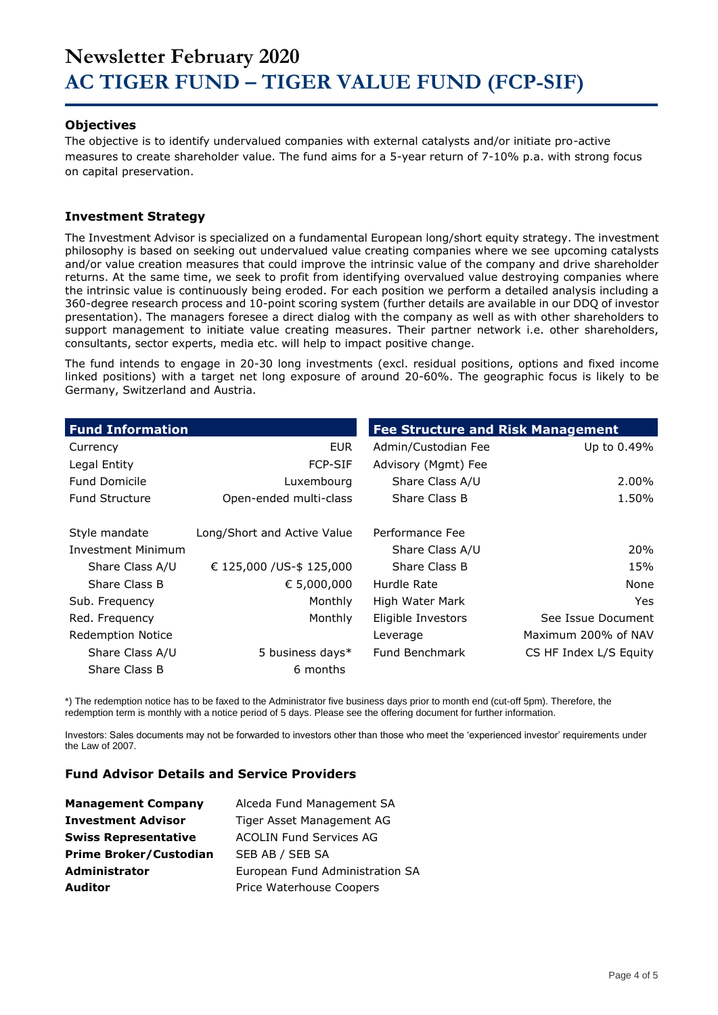#### **Objectives**

The objective is to identify undervalued companies with external catalysts and/or initiate pro-active measures to create shareholder value. The fund aims for a 5-year return of 7-10% p.a. with strong focus on capital preservation.

#### **Investment Strategy**

The Investment Advisor is specialized on a fundamental European long/short equity strategy. The investment philosophy is based on seeking out undervalued value creating companies where we see upcoming catalysts and/or value creation measures that could improve the intrinsic value of the company and drive shareholder returns. At the same time, we seek to profit from identifying overvalued value destroying companies where the intrinsic value is continuously being eroded. For each position we perform a detailed analysis including a 360-degree research process and 10-point scoring system (further details are available in our DDQ of investor presentation). The managers foresee a direct dialog with the company as well as with other shareholders to support management to initiate value creating measures. Their partner network i.e. other shareholders, consultants, sector experts, media etc. will help to impact positive change.

The fund intends to engage in 20-30 long investments (excl. residual positions, options and fixed income linked positions) with a target net long exposure of around 20-60%. The geographic focus is likely to be Germany, Switzerland and Austria.

| <b>Fund Information</b>  |                             | <b>Fee Structure and Risk Management</b> |                        |
|--------------------------|-----------------------------|------------------------------------------|------------------------|
| Currency                 | <b>EUR</b>                  | Admin/Custodian Fee                      | Up to 0.49%            |
| Legal Entity             | <b>FCP-SIF</b>              | Advisory (Mgmt) Fee                      |                        |
| <b>Fund Domicile</b>     | Luxembourg                  | Share Class A/U                          | 2.00%                  |
| <b>Fund Structure</b>    | Open-ended multi-class      | Share Class B                            | 1.50%                  |
| Style mandate            | Long/Short and Active Value | Performance Fee                          |                        |
| Investment Minimum       |                             | Share Class A/U                          | 20%                    |
| Share Class A/U          | € 125,000 / US-\$ 125,000   | Share Class B                            | 15%                    |
| Share Class B            | € 5,000,000                 | Hurdle Rate                              | None                   |
| Sub. Frequency           | Monthly                     | High Water Mark                          | Yes.                   |
| Red. Frequency           | Monthly                     | Eligible Investors                       | See Issue Document     |
| <b>Redemption Notice</b> |                             | Leverage                                 | Maximum 200% of NAV    |
| Share Class A/U          | 5 business days*            | Fund Benchmark                           | CS HF Index L/S Equity |
| Share Class B            | 6 months                    |                                          |                        |

\*) The redemption notice has to be faxed to the Administrator five business days prior to month end (cut-off 5pm). Therefore, the redemption term is monthly with a notice period of 5 days. Please see the offering document for further information.

Investors: Sales documents may not be forwarded to investors other than those who meet the 'experienced investor' requirements under the Law of 2007.

#### **Fund Advisor Details and Service Providers**

| <b>Management Company</b>     | Alceda Fund Management SA       |
|-------------------------------|---------------------------------|
| <b>Investment Advisor</b>     | Tiger Asset Management AG       |
| <b>Swiss Representative</b>   | <b>ACOLIN Fund Services AG</b>  |
| <b>Prime Broker/Custodian</b> | SEB AB / SEB SA                 |
| <b>Administrator</b>          | European Fund Administration SA |
| <b>Auditor</b>                | Price Waterhouse Coopers        |